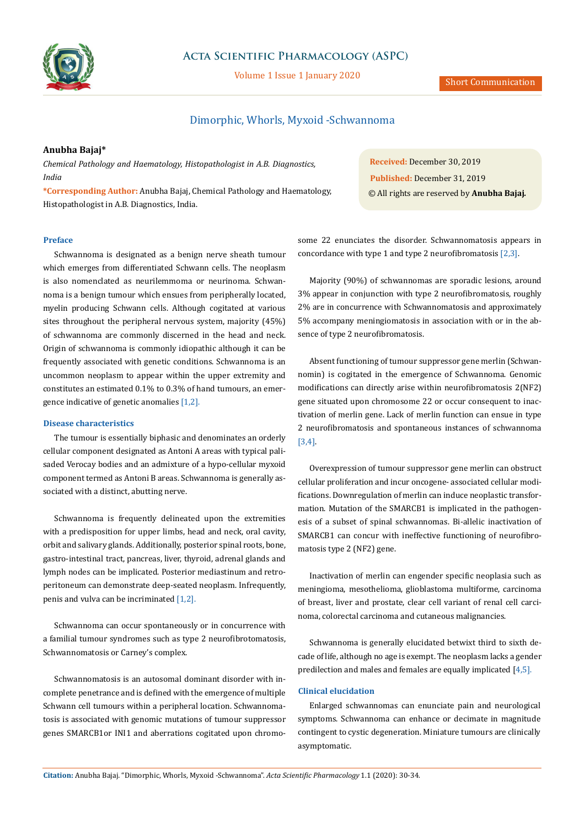

## **Acta Scientific Pharmacology (ASPC)**

Volume 1 Issue 1 January 2020

# Dimorphic, Whorls, Myxoid -Schwannoma

## **Anubha Bajaj\***

*Chemical Pathology and Haematology, Histopathologist in A.B. Diagnostics, India*

**\*Corresponding Author:** Anubha Bajaj, Chemical Pathology and Haematology, Histopathologist in A.B. Diagnostics, India.

**Received:** December 30, 2019 **Published:** December 31, 2019 © All rights are reserved by **Anubha Bajaj***.*

## **Preface**

Schwannoma is designated as a benign nerve sheath tumour which emerges from differentiated Schwann cells. The neoplasm is also nomenclated as neurilemmoma or neurinoma. Schwannoma is a benign tumour which ensues from peripherally located, myelin producing Schwann cells. Although cogitated at various sites throughout the peripheral nervous system, majority (45%) of schwannoma are commonly discerned in the head and neck. Origin of schwannoma is commonly idiopathic although it can be frequently associated with genetic conditions. Schwannoma is an uncommon neoplasm to appear within the upper extremity and constitutes an estimated 0.1% to 0.3% of hand tumours, an emergence indicative of genetic anomalies [1,2].

## **Disease characteristics**

The tumour is essentially biphasic and denominates an orderly cellular component designated as Antoni A areas with typical palisaded Verocay bodies and an admixture of a hypo-cellular myxoid component termed as Antoni B areas. Schwannoma is generally associated with a distinct, abutting nerve.

Schwannoma is frequently delineated upon the extremities with a predisposition for upper limbs, head and neck, oral cavity, orbit and salivary glands. Additionally, posterior spinal roots, bone, gastro-intestinal tract, pancreas, liver, thyroid, adrenal glands and lymph nodes can be implicated. Posterior mediastinum and retroperitoneum can demonstrate deep-seated neoplasm. Infrequently, penis and vulva can be incriminated [1,2].

Schwannoma can occur spontaneously or in concurrence with a familial tumour syndromes such as type 2 neurofibrotomatosis, Schwannomatosis or Carney's complex.

Schwannomatosis is an autosomal dominant disorder with incomplete penetrance and is defined with the emergence of multiple Schwann cell tumours within a peripheral location. Schwannomatosis is associated with genomic mutations of tumour suppressor genes SMARCB1or INI1 and aberrations cogitated upon chromosome 22 enunciates the disorder. Schwannomatosis appears in concordance with type 1 and type 2 neurofibromatosis [2,3].

Majority (90%) of schwannomas are sporadic lesions, around 3% appear in conjunction with type 2 neurofibromatosis, roughly 2% are in concurrence with Schwannomatosis and approximately 5% accompany meningiomatosis in association with or in the absence of type 2 neurofibromatosis.

Absent functioning of tumour suppressor gene merlin (Schwannomin) is cogitated in the emergence of Schwannoma. Genomic modifications can directly arise within neurofibromatosis 2(NF2) gene situated upon chromosome 22 or occur consequent to inactivation of merlin gene. Lack of merlin function can ensue in type 2 neurofibromatosis and spontaneous instances of schwannoma [3,4].

Overexpression of tumour suppressor gene merlin can obstruct cellular proliferation and incur oncogene- associated cellular modifications. Downregulation of merlin can induce neoplastic transformation. Mutation of the SMARCB1 is implicated in the pathogenesis of a subset of spinal schwannomas. Bi-allelic inactivation of SMARCB1 can concur with ineffective functioning of neurofibromatosis type 2 (NF2) gene.

Inactivation of merlin can engender specific neoplasia such as meningioma, mesothelioma, glioblastoma multiforme, carcinoma of breast, liver and prostate, clear cell variant of renal cell carcinoma, colorectal carcinoma and cutaneous malignancies.

Schwannoma is generally elucidated betwixt third to sixth decade of life, although no age is exempt. The neoplasm lacks a gender predilection and males and females are equally implicated [4,5].

## **Clinical elucidation**

Enlarged schwannomas can enunciate pain and neurological symptoms. Schwannoma can enhance or decimate in magnitude contingent to cystic degeneration. Miniature tumours are clinically asymptomatic.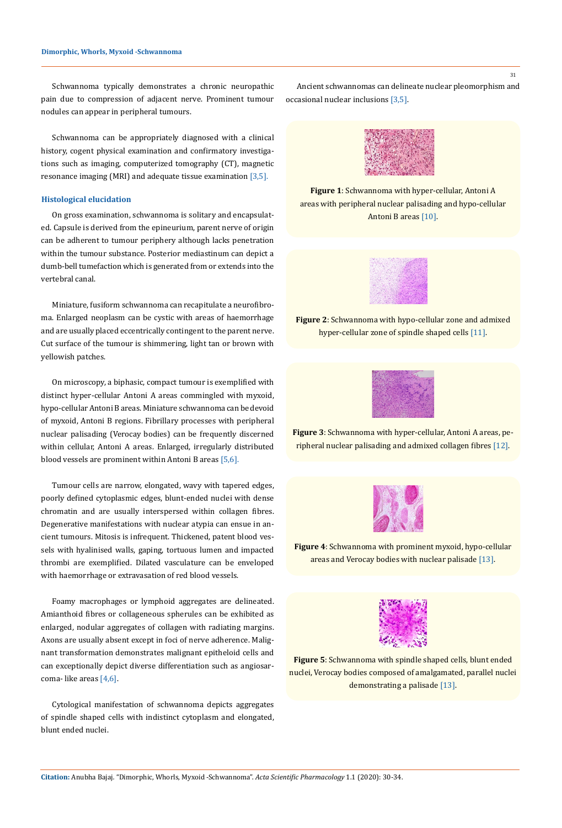Schwannoma typically demonstrates a chronic neuropathic pain due to compression of adjacent nerve. Prominent tumour nodules can appear in peripheral tumours.

Schwannoma can be appropriately diagnosed with a clinical history, cogent physical examination and confirmatory investigations such as imaging, computerized tomography (CT), magnetic resonance imaging (MRI) and adequate tissue examination [3,5].

#### **Histological elucidation**

On gross examination, schwannoma is solitary and encapsulated. Capsule is derived from the epineurium, parent nerve of origin can be adherent to tumour periphery although lacks penetration within the tumour substance. Posterior mediastinum can depict a dumb-bell tumefaction which is generated from or extends into the vertebral canal.

Miniature, fusiform schwannoma can recapitulate a neurofibroma. Enlarged neoplasm can be cystic with areas of haemorrhage and are usually placed eccentrically contingent to the parent nerve. Cut surface of the tumour is shimmering, light tan or brown with yellowish patches.

On microscopy, a biphasic, compact tumour is exemplified with distinct hyper-cellular Antoni A areas commingled with myxoid, hypo-cellular Antoni B areas. Miniature schwannoma can be devoid of myxoid, Antoni B regions. Fibrillary processes with peripheral nuclear palisading (Verocay bodies) can be frequently discerned within cellular, Antoni A areas. Enlarged, irregularly distributed blood vessels are prominent within Antoni B areas [5,6].

Tumour cells are narrow, elongated, wavy with tapered edges, poorly defined cytoplasmic edges, blunt-ended nuclei with dense chromatin and are usually interspersed within collagen fibres. Degenerative manifestations with nuclear atypia can ensue in ancient tumours. Mitosis is infrequent. Thickened, patent blood vessels with hyalinised walls, gaping, tortuous lumen and impacted thrombi are exemplified. Dilated vasculature can be enveloped with haemorrhage or extravasation of red blood vessels.

Foamy macrophages or lymphoid aggregates are delineated. Amianthoid fibres or collageneous spherules can be exhibited as enlarged, nodular aggregates of collagen with radiating margins. Axons are usually absent except in foci of nerve adherence. Malignant transformation demonstrates malignant epitheloid cells and can exceptionally depict diverse differentiation such as angiosarcoma- like areas [4,6].

Cytological manifestation of schwannoma depicts aggregates of spindle shaped cells with indistinct cytoplasm and elongated, blunt ended nuclei.

31

Ancient schwannomas can delineate nuclear pleomorphism and occasional nuclear inclusions [3,5].



**Figure 1**: Schwannoma with hyper-cellular, Antoni A areas with peripheral nuclear palisading and hypo-cellular Antoni B areas [10].



**Figure 2**: Schwannoma with hypo-cellular zone and admixed hyper-cellular zone of spindle shaped cells [11].



**Figure 3**: Schwannoma with hyper-cellular, Antoni A areas, peripheral nuclear palisading and admixed collagen fibres [12].



**Figure 4**: Schwannoma with prominent myxoid, hypo-cellular areas and Verocay bodies with nuclear palisade [13].



**Figure 5**: Schwannoma with spindle shaped cells, blunt ended nuclei, Verocay bodies composed of amalgamated, parallel nuclei demonstrating a palisade [13].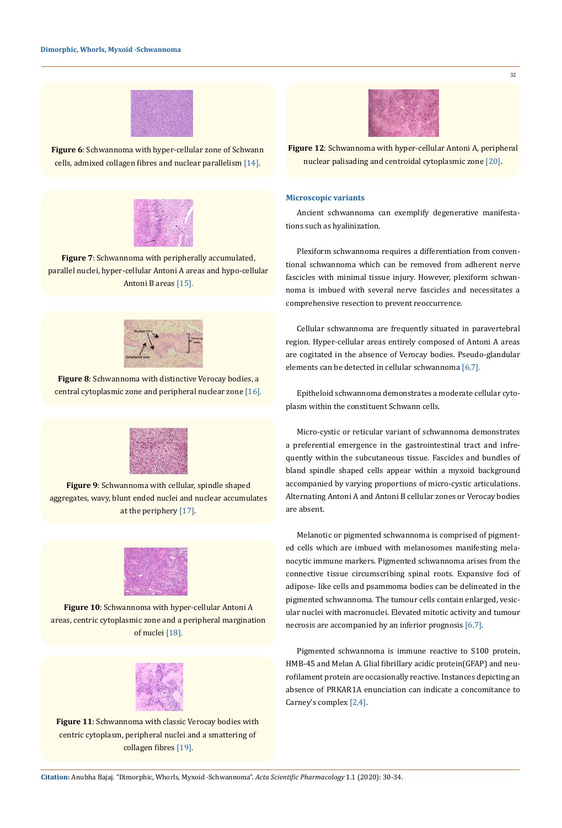

**Figure 6**: Schwannoma with hyper-cellular zone of Schwann cells, admixed collagen fibres and nuclear parallelism [14].



**Figure 7**: Schwannoma with peripherally accumulated, parallel nuclei, hyper-cellular Antoni A areas and hypo-cellular Antoni B areas [15].



**Figure 8**: Schwannoma with distinctive Verocay bodies, a central cytoplasmic zone and peripheral nuclear zone [16].



**Figure 9**: Schwannoma with cellular, spindle shaped aggregates, wavy, blunt ended nuclei and nuclear accumulates at the periphery [17].



**Figure 10**: Schwannoma with hyper-cellular Antoni A areas, centric cytoplasmic zone and a peripheral margination of nuclei [18].



**Figure 11**: Schwannoma with classic Verocay bodies with centric cytoplasm, peripheral nuclei and a smattering of collagen fibres [19].



**Figure 12**: Schwannoma with hyper-cellular Antoni A, peripheral nuclear palisading and centroidal cytoplasmic zone [20].

#### **Microscopic variants**

Ancient schwannoma can exemplify degenerative manifestations such as hyalinization.

Plexiform schwannoma requires a differentiation from conventional schwannoma which can be removed from adherent nerve fascicles with minimal tissue injury. However, plexiform schwannoma is imbued with several nerve fascicles and necessitates a comprehensive resection to prevent reoccurrence.

Cellular schwannoma are frequently situated in paravertebral region. Hyper-cellular areas entirely composed of Antoni A areas are cogitated in the absence of Verocay bodies. Pseudo-glandular elements can be detected in cellular schwannoma [6,7].

Epitheloid schwannoma demonstrates a moderate cellular cytoplasm within the constituent Schwann cells.

Micro-cystic or reticular variant of schwannoma demonstrates a preferential emergence in the gastrointestinal tract and infrequently within the subcutaneous tissue. Fascicles and bundles of bland spindle shaped cells appear within a myxoid background accompanied by varying proportions of micro-cystic articulations. Alternating Antoni A and Antoni B cellular zones or Verocay bodies are absent.

Melanotic or pigmented schwannoma is comprised of pigmented cells which are imbued with melanosomes manifesting melanocytic immune markers. Pigmented schwannoma arises from the connective tissue circumscribing spinal roots. Expansive foci of adipose- like cells and psammoma bodies can be delineated in the pigmented schwannoma. The tumour cells contain enlarged, vesicular nuclei with macronuclei. Elevated mitotic activity and tumour necrosis are accompanied by an inferior prognosis [6,7].

Pigmented schwannoma is immune reactive to S100 protein, HMB-45 and Melan A. Glial fibrillary acidic protein(GFAP) and neurofilament protein are occasionally reactive. Instances depicting an absence of PRKAR1A enunciation can indicate a concomitance to Carney's complex [2,4].

32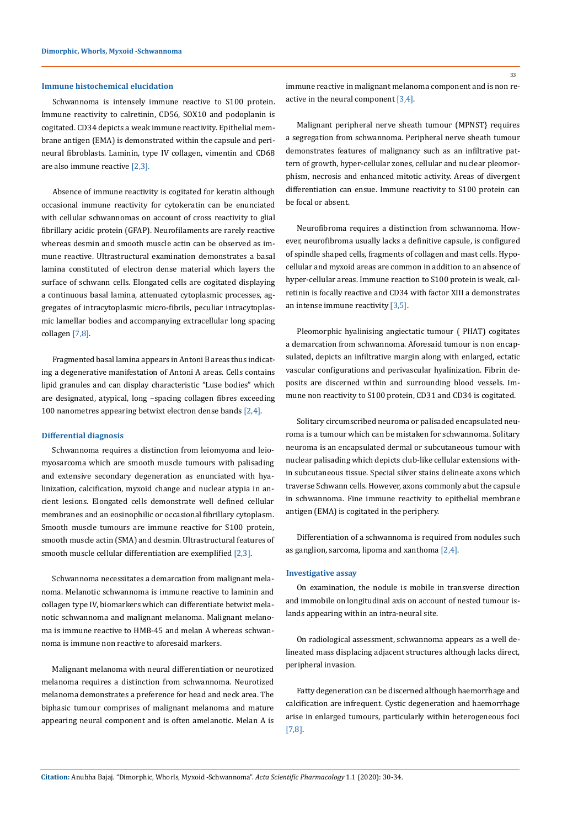## **Immune histochemical elucidation**

Schwannoma is intensely immune reactive to S100 protein. Immune reactivity to calretinin, CD56, SOX10 and podoplanin is cogitated. CD34 depicts a weak immune reactivity. Epithelial membrane antigen (EMA) is demonstrated within the capsule and perineural fibroblasts. Laminin, type IV collagen, vimentin and CD68 are also immune reactive [2,3].

Absence of immune reactivity is cogitated for keratin although occasional immune reactivity for cytokeratin can be enunciated with cellular schwannomas on account of cross reactivity to glial fibrillary acidic protein (GFAP). Neurofilaments are rarely reactive whereas desmin and smooth muscle actin can be observed as immune reactive. Ultrastructural examination demonstrates a basal lamina constituted of electron dense material which layers the surface of schwann cells. Elongated cells are cogitated displaying a continuous basal lamina, attenuated cytoplasmic processes, aggregates of intracytoplasmic micro-fibrils, peculiar intracytoplasmic lamellar bodies and accompanying extracellular long spacing collagen [7,8].

Fragmented basal lamina appears in Antoni B areas thus indicating a degenerative manifestation of Antoni A areas. Cells contains lipid granules and can display characteristic "Luse bodies" which are designated, atypical, long –spacing collagen fibres exceeding 100 nanometres appearing betwixt electron dense bands [2,4].

#### **Differential diagnosis**

Schwannoma requires a distinction from leiomyoma and leiomyosarcoma which are smooth muscle tumours with palisading and extensive secondary degeneration as enunciated with hyalinization, calcification, myxoid change and nuclear atypia in ancient lesions. Elongated cells demonstrate well defined cellular membranes and an eosinophilic or occasional fibrillary cytoplasm. Smooth muscle tumours are immune reactive for S100 protein, smooth muscle actin (SMA) and desmin. Ultrastructural features of smooth muscle cellular differentiation are exemplified [2,3].

Schwannoma necessitates a demarcation from malignant melanoma. Melanotic schwannoma is immune reactive to laminin and collagen type IV, biomarkers which can differentiate betwixt melanotic schwannoma and malignant melanoma. Malignant melanoma is immune reactive to HMB-45 and melan A whereas schwannoma is immune non reactive to aforesaid markers.

Malignant melanoma with neural differentiation or neurotized melanoma requires a distinction from schwannoma. Neurotized melanoma demonstrates a preference for head and neck area. The biphasic tumour comprises of malignant melanoma and mature appearing neural component and is often amelanotic. Melan A is immune reactive in malignant melanoma component and is non reactive in the neural component [3,4].

Malignant peripheral nerve sheath tumour (MPNST} requires a segregation from schwannoma. Peripheral nerve sheath tumour demonstrates features of malignancy such as an infiltrative pattern of growth, hyper-cellular zones, cellular and nuclear pleomorphism, necrosis and enhanced mitotic activity. Areas of divergent differentiation can ensue. Immune reactivity to S100 protein can be focal or absent.

Neurofibroma requires a distinction from schwannoma. However, neurofibroma usually lacks a definitive capsule, is configured of spindle shaped cells, fragments of collagen and mast cells. Hypocellular and myxoid areas are common in addition to an absence of hyper-cellular areas. Immune reaction to S100 protein is weak, calretinin is focally reactive and CD34 with factor XIII a demonstrates an intense immune reactivity [3,5].

Pleomorphic hyalinising angiectatic tumour ( PHAT) cogitates a demarcation from schwannoma. Aforesaid tumour is non encapsulated, depicts an infiltrative margin along with enlarged, ectatic vascular configurations and perivascular hyalinization. Fibrin deposits are discerned within and surrounding blood vessels. Immune non reactivity to S100 protein, CD31 and CD34 is cogitated.

Solitary circumscribed neuroma or palisaded encapsulated neuroma is a tumour which can be mistaken for schwannoma. Solitary neuroma is an encapsulated dermal or subcutaneous tumour with nuclear palisading which depicts club-like cellular extensions within subcutaneous tissue. Special silver stains delineate axons which traverse Schwann cells. However, axons commonly abut the capsule in schwannoma. Fine immune reactivity to epithelial membrane antigen (EMA) is cogitated in the periphery.

Differentiation of a schwannoma is required from nodules such as ganglion, sarcoma, lipoma and xanthoma [2,4].

#### **Investigative assay**

On examination, the nodule is mobile in transverse direction and immobile on longitudinal axis on account of nested tumour islands appearing within an intra-neural site.

On radiological assessment, schwannoma appears as a well delineated mass displacing adjacent structures although lacks direct, peripheral invasion.

Fatty degeneration can be discerned although haemorrhage and calcification are infrequent. Cystic degeneration and haemorrhage arise in enlarged tumours, particularly within heterogeneous foci [7,8].